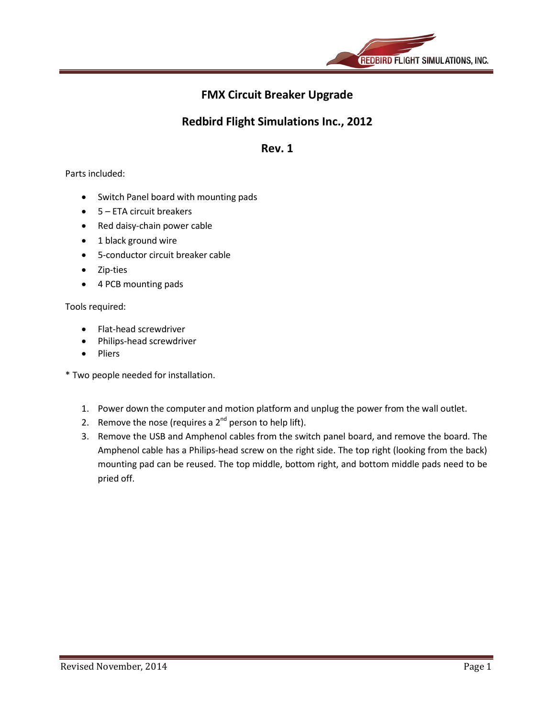

# **FMX Circuit Breaker Upgrade**

## **Redbird Flight Simulations Inc., 2012**

### **Rev. 1**

### Parts included:

- Switch Panel board with mounting pads
- 5 ETA circuit breakers
- Red daisy-chain power cable
- 1 black ground wire
- 5-conductor circuit breaker cable
- Zip-ties
- 4 PCB mounting pads

#### Tools required:

- Flat-head screwdriver
- Philips-head screwdriver
- Pliers

\* Two people needed for installation.

- 1. Power down the computer and motion platform and unplug the power from the wall outlet.
- 2. Remove the nose (requires a  $2<sup>nd</sup>$  person to help lift).
- 3. Remove the USB and Amphenol cables from the switch panel board, and remove the board. The Amphenol cable has a Philips-head screw on the right side. The top right (looking from the back) mounting pad can be reused. The top middle, bottom right, and bottom middle pads need to be pried off.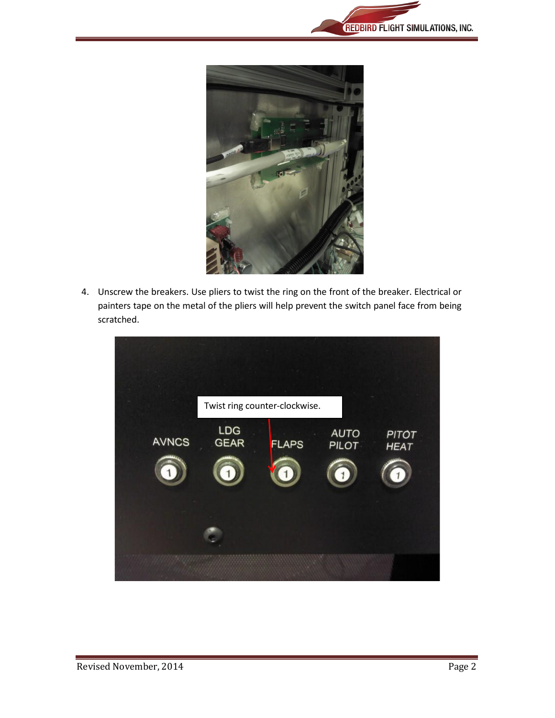



4. Unscrew the breakers. Use pliers to twist the ring on the front of the breaker. Electrical or painters tape on the metal of the pliers will help prevent the switch panel face from being scratched.

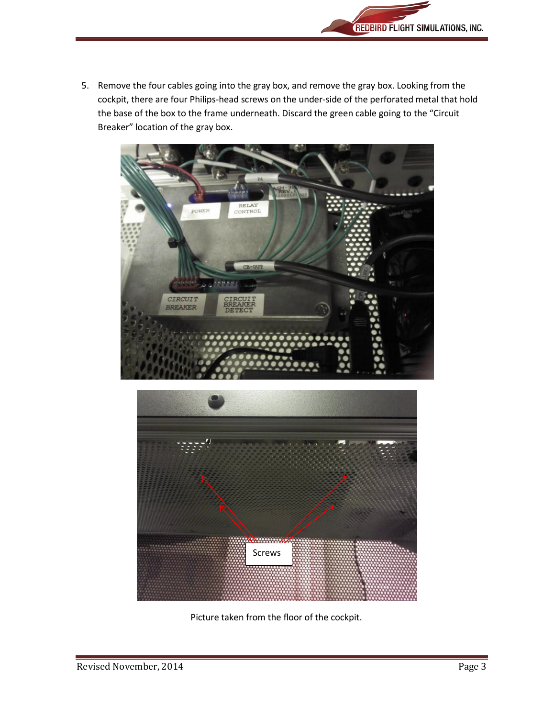

5. Remove the four cables going into the gray box, and remove the gray box. Looking from the cockpit, there are four Philips-head screws on the under-side of the perforated metal that hold the base of the box to the frame underneath. Discard the green cable going to the "Circuit Breaker" location of the gray box.





Picture taken from the floor of the cockpit.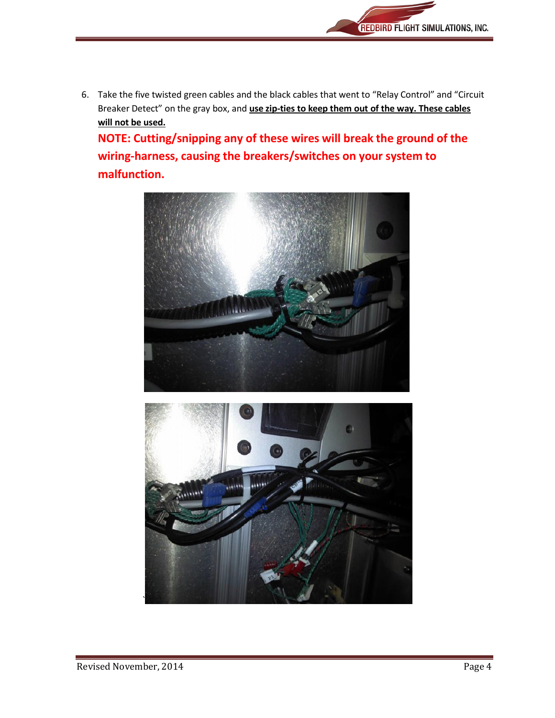

6. Take the five twisted green cables and the black cables that went to "Relay Control" and "Circuit Breaker Detect" on the gray box, and **use zip-ties to keep them out of the way. These cables will not be used.**

**NOTE: Cutting/snipping any of these wires will break the ground of the wiring-harness, causing the breakers/switches on your system to malfunction.**



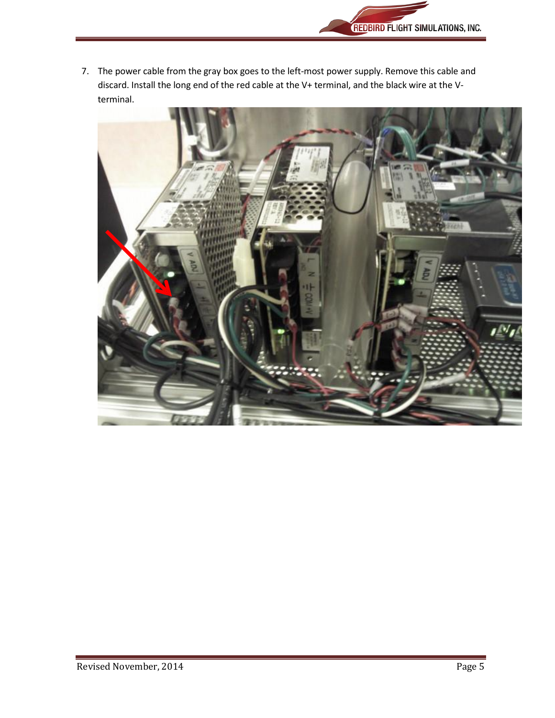

7. The power cable from the gray box goes to the left-most power supply. Remove this cable and discard. Install the long end of the red cable at the V+ terminal, and the black wire at the Vterminal.

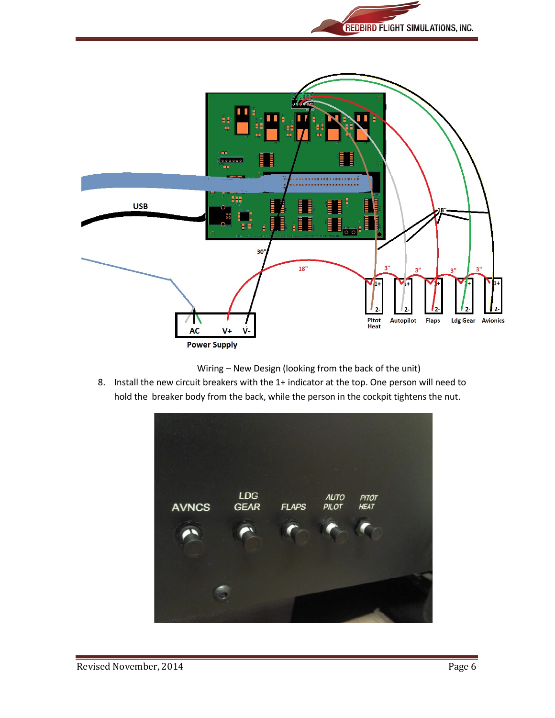



Wiring – New Design (looking from the back of the unit)

8. Install the new circuit breakers with the 1+ indicator at the top. One person will need to hold the breaker body from the back, while the person in the cockpit tightens the nut.

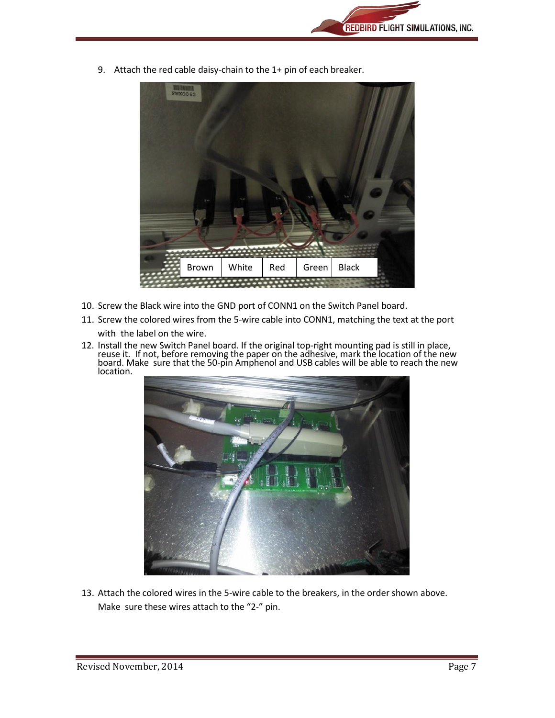9. Attach the red cable daisy-chain to the 1+ pin of each breaker.



- 10. Screw the Black wire into the GND port of CONN1 on the Switch Panel board.
- 11. Screw the colored wires from the 5-wire cable into CONN1, matching the text at the port with the label on the wire.
- 12. Install the new Switch Panel board. If the original top-right mounting pad is still in place, reuse it. If not, before removing the paper on the adhesive, mark the location of the new board. Make sure that the 50-pin Amphenol and USB cables will be able to reach the new location.



13. Attach the colored wires in the 5-wire cable to the breakers, in the order shown above. Make sure these wires attach to the "2-" pin.